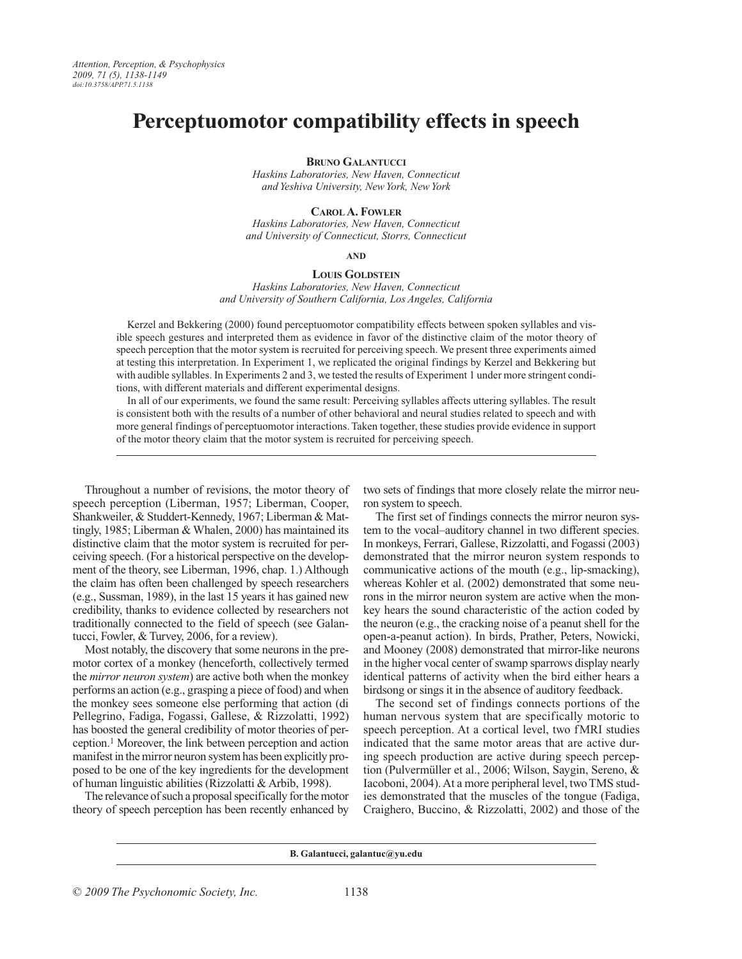# **Perceptuomotor compatibility effects in speech**

**Bruno Galantucci**

*Haskins Laboratories, New Haven, Connecticut and Yeshiva University, New York, New York*

# **CarolA. Fowler**

*Haskins Laboratories, New Haven, Connecticut and University of Connecticut, Storrs, Connecticut*

#### **and**

## **Louis Goldstein**

*Haskins Laboratories, New Haven, Connecticut and University of Southern California, Los Angeles, California*

Kerzel and Bekkering (2000) found perceptuomotor compatibility effects between spoken syllables and visible speech gestures and interpreted them as evidence in favor of the distinctive claim of the motor theory of speech perception that the motor system is recruited for perceiving speech. We present three experiments aimed at testing this interpretation. In Experiment 1, we replicated the original findings by Kerzel and Bekkering but with audible syllables. In Experiments 2 and 3, we tested the results of Experiment 1 under more stringent conditions, with different materials and different experimental designs.

In all of our experiments, we found the same result: Perceiving syllables affects uttering syllables. The result is consistent both with the results of a number of other behavioral and neural studies related to speech and with more general findings of perceptuomotor interactions. Taken together, these studies provide evidence in support of the motor theory claim that the motor system is recruited for perceiving speech.

Throughout a number of revisions, the motor theory of speech perception (Liberman, 1957; Liberman, Cooper, Shankweiler, & Studdert-Kennedy, 1967; Liberman & Mattingly, 1985; Liberman & Whalen, 2000) has maintained its distinctive claim that the motor system is recruited for perceiving speech. (For a historical perspective on the development of the theory, see Liberman, 1996, chap. 1.) Although the claim has often been challenged by speech researchers (e.g., Sussman, 1989), in the last 15 years it has gained new credibility, thanks to evidence collected by researchers not traditionally connected to the field of speech (see Galantucci, Fowler, & Turvey, 2006, for a review).

Most notably, the discovery that some neurons in the premotor cortex of a monkey (henceforth, collectively termed the *mirror neuron system*) are active both when the monkey performs an action (e.g., grasping a piece of food) and when the monkey sees someone else performing that action (di Pellegrino, Fadiga, Fogassi, Gallese, & Rizzolatti, 1992) has boosted the general credibility of motor theories of perception.1 Moreover, the link between perception and action manifest in the mirror neuron system has been explicitly proposed to be one of the key ingredients for the development of human linguistic abilities (Rizzolatti & Arbib, 1998).

The relevance of such a proposal specifically for the motor theory of speech perception has been recently enhanced by

two sets of findings that more closely relate the mirror neuron system to speech.

The first set of findings connects the mirror neuron system to the vocal–auditory channel in two different species. In monkeys, Ferrari, Gallese, Rizzolatti, and Fogassi (2003) demonstrated that the mirror neuron system responds to communicative actions of the mouth (e.g., lip-smacking), whereas Kohler et al. (2002) demonstrated that some neurons in the mirror neuron system are active when the monkey hears the sound characteristic of the action coded by the neuron (e.g., the cracking noise of a peanut shell for the open-a-peanut action). In birds, Prather, Peters, Nowicki, and Mooney (2008) demonstrated that mirror-like neurons in the higher vocal center of swamp sparrows display nearly identical patterns of activity when the bird either hears a birdsong or sings it in the absence of auditory feedback.

The second set of findings connects portions of the human nervous system that are specifically motoric to speech perception. At a cortical level, two fMRI studies indicated that the same motor areas that are active during speech production are active during speech perception (Pulvermüller et al., 2006; Wilson, Saygin, Sereno, & Iacoboni, 2004). At a more peripheral level, two TMS studies demonstrated that the muscles of the tongue (Fadiga, Craighero, Buccino, & Rizzolatti, 2002) and those of the

**B. Galantucci, galantuc@yu.edu**

<sup>©</sup> *2009 The Psychonomic Society, Inc.* 1138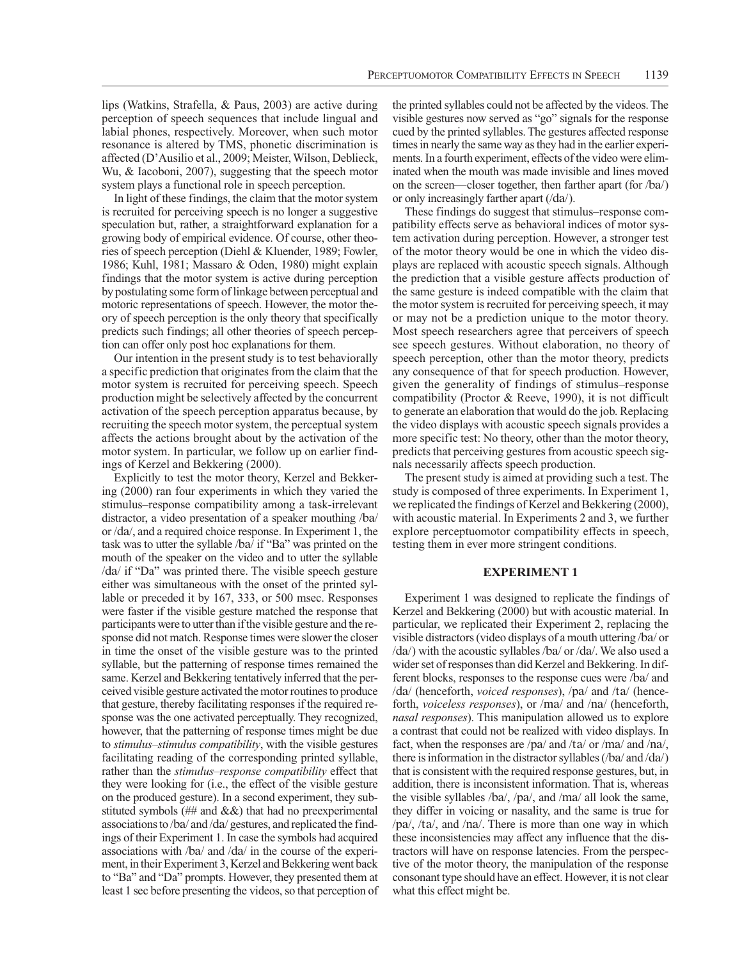lips (Watkins, Strafella, & Paus, 2003) are active during perception of speech sequences that include lingual and labial phones, respectively. Moreover, when such motor resonance is altered by TMS, phonetic discrimination is affected (D'Ausilio et al., 2009; Meister, Wilson, Deblieck, Wu, & Iacoboni, 2007), suggesting that the speech motor system plays a functional role in speech perception.

In light of these findings, the claim that the motor system is recruited for perceiving speech is no longer a suggestive speculation but, rather, a straightforward explanation for a growing body of empirical evidence. Of course, other theories of speech perception (Diehl & Kluender, 1989; Fowler, 1986; Kuhl, 1981; Massaro & Oden, 1980) might explain findings that the motor system is active during perception by postulating some form of linkage between perceptual and motoric representations of speech. However, the motor theory of speech perception is the only theory that specifically predicts such findings; all other theories of speech perception can offer only post hoc explanations for them.

Our intention in the present study is to test behaviorally a specific prediction that originates from the claim that the motor system is recruited for perceiving speech. Speech production might be selectively affected by the concurrent activation of the speech perception apparatus because, by recruiting the speech motor system, the perceptual system affects the actions brought about by the activation of the motor system. In particular, we follow up on earlier findings of Kerzel and Bekkering (2000).

Explicitly to test the motor theory, Kerzel and Bekkering (2000) ran four experiments in which they varied the stimulus–response compatibility among a task-irrelevant distractor, a video presentation of a speaker mouthing /ba/ or /da/, and a required choice response. In Experiment 1, the task was to utter the syllable /ba/ if "Ba" was printed on the mouth of the speaker on the video and to utter the syllable /da/ if "Da" was printed there. The visible speech gesture either was simultaneous with the onset of the printed syllable or preceded it by 167, 333, or 500 msec. Responses were faster if the visible gesture matched the response that participants were to utter than if the visible gesture and the response did not match. Response times were slower the closer in time the onset of the visible gesture was to the printed syllable, but the patterning of response times remained the same. Kerzel and Bekkering tentatively inferred that the perceived visible gesture activated the motor routines to produce that gesture, thereby facilitating responses if the required response was the one activated perceptually. They recognized, however, that the patterning of response times might be due to *stimulus–stimulus compatibility*, with the visible gestures facilitating reading of the corresponding printed syllable, rather than the *stimulus–response compatibility* effect that they were looking for (i.e., the effect of the visible gesture on the produced gesture). In a second experiment, they substituted symbols (## and  $&&&&\text{right}$ ) that had no preexperimental associations to /ba/ and /da/ gestures, and replicated the findings of their Experiment 1. In case the symbols had acquired associations with /ba/ and /da/ in the course of the experiment, in their Experiment 3, Kerzel and Bekkering went back to "Ba" and "Da" prompts. However, they presented them at least 1 sec before presenting the videos, so that perception of the printed syllables could not be affected by the videos. The visible gestures now served as "go" signals for the response cued by the printed syllables. The gestures affected response times in nearly the same way as they had in the earlier experiments. In a fourth experiment, effects of the video were eliminated when the mouth was made invisible and lines moved on the screen—closer together, then farther apart (for /ba/) or only increasingly farther apart (/da/).

These findings do suggest that stimulus–response compatibility effects serve as behavioral indices of motor system activation during perception. However, a stronger test of the motor theory would be one in which the video displays are replaced with acoustic speech signals. Although the prediction that a visible gesture affects production of the same gesture is indeed compatible with the claim that the motor system is recruited for perceiving speech, it may or may not be a prediction unique to the motor theory. Most speech researchers agree that perceivers of speech see speech gestures. Without elaboration, no theory of speech perception, other than the motor theory, predicts any consequence of that for speech production. However, given the generality of findings of stimulus–response compatibility (Proctor & Reeve, 1990), it is not difficult to generate an elaboration that would do the job. Replacing the video displays with acoustic speech signals provides a more specific test: No theory, other than the motor theory, predicts that perceiving gestures from acoustic speech signals necessarily affects speech production.

The present study is aimed at providing such a test. The study is composed of three experiments. In Experiment 1, we replicated the findings of Kerzel and Bekkering (2000), with acoustic material. In Experiments 2 and 3, we further explore perceptuomotor compatibility effects in speech, testing them in ever more stringent conditions.

# **Experiment 1**

Experiment 1 was designed to replicate the findings of Kerzel and Bekkering (2000) but with acoustic material. In particular, we replicated their Experiment 2, replacing the visible distractors (video displays of a mouth uttering /ba/ or /da/) with the acoustic syllables /ba/ or /da/. We also used a wider set of responses than did Kerzel and Bekkering. In different blocks, responses to the response cues were /ba/ and /da/ (henceforth, *voiced responses*), /pa/ and /ta/ (henceforth, *voiceless responses*), or /ma/ and /na/ (henceforth, *nasal responses*). This manipulation allowed us to explore a contrast that could not be realized with video displays. In fact, when the responses are /pa/ and /ta/ or /ma/ and /na/, there is information in the distractor syllables (/ba/ and /da/) that is consistent with the required response gestures, but, in addition, there is inconsistent information. That is, whereas the visible syllables /ba/, /pa/, and /ma/ all look the same, they differ in voicing or nasality, and the same is true for /pa/, /ta/, and /na/. There is more than one way in which these inconsistencies may affect any influence that the distractors will have on response latencies. From the perspective of the motor theory, the manipulation of the response consonant type should have an effect. However, it is not clear what this effect might be.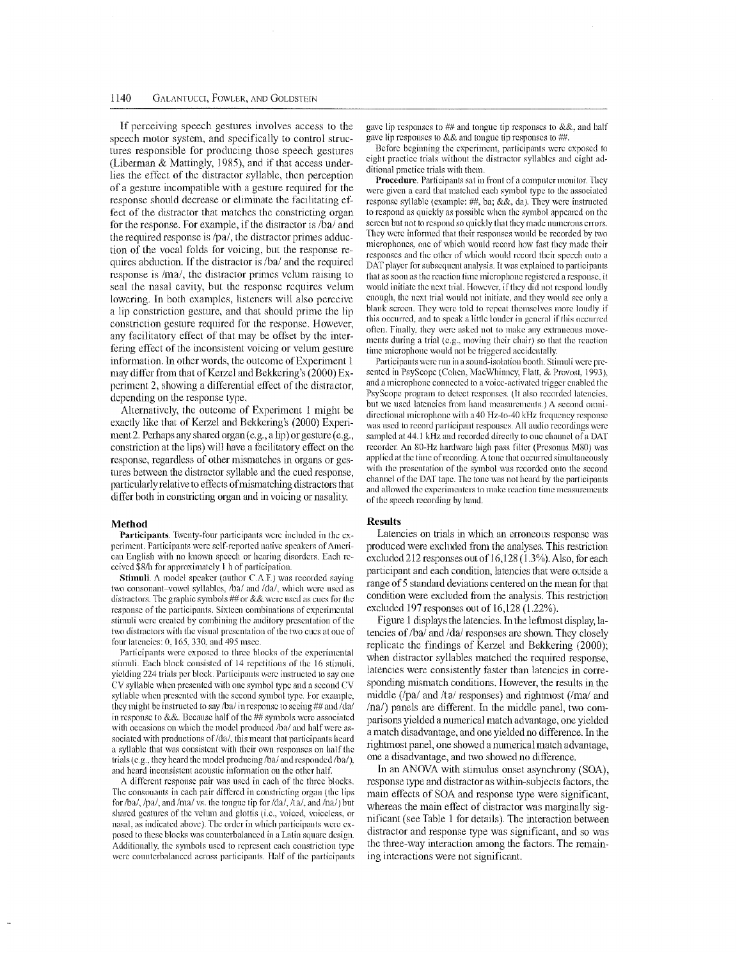#### 1140 **GALANTUCCI, FOWLER, AND GOLDSTEIN**

If perceiving speech gestures involves access to the speech motor system, and specifically to control structures responsible for producing those speech gestures (Liberman & Mattingly, 1985), and if that access underlies the effect of the distractor syllable, then perception of a gesture incompatible with a gesture required for the response should decrease or eliminate the facilitating effect of the distractor that matches the constricting organ for the response. For example, if the distractor is /ba/ and the required response is /pa/, the distractor primes adduction of the vocal folds for voicing, but the response requires abduction. If the distractor is /ba/ and the required response is /ma/, the distractor primes velum raising to seal the nasal cavity, but the response requires velum lowering. In both examples, listeners will also perceive a lip constriction gesture, and that should prime the lip constriction gesture required for the response. However, any facilitatory effect of that may be offset by the interfering effect of the inconsistent voicing or velum gesture information. In other words, the outcome of Experiment 1 may differ from that of Kerzel and Bekkering's (2000) Experiment 2, showing a differential effect of the distractor, depending on the response type.

Alternatively, the outcome of Experiment 1 might be exactly like that of Kerzel and Bekkering's (2000) Experiment 2. Perhaps any shared organ (e.g., a lip) or gesture (e.g., constriction at the lips) will have a facilitatory effect on the response, regardless of other mismatches in organs or gestures between the distractor syllable and the cued response, particularly relative to effects of mismatching distractors that differ both in constricting organ and in voicing or nasality.

#### **Method**

Participants. Twenty-four participants were included in the experiment. Participants were self-reported native speakers of American English with no known speech or hearing disorders. Each received \$8/h for approximately 1 h of participation.

Stimuli. A model speaker (author C.A.F.) was recorded saying two consonant-vowel syllables, /ba/ and /da/, which were used as distractors. The graphic symbols  $\#$  or && were used as cues for the response of the participants. Sixteen combinations of experimental stimuli were created by combining the auditory presentation of the two distractors with the visual presentation of the two cues at one of four latencies: 0, 165, 330, and 495 msec.

Participants were exposed to three blocks of the experimental stimuli. Each block consisted of 14 repetitions of the 16 stimuli, yielding 224 trials per block. Participants were instructed to say one CV syllable when presented with one symbol type and a second CV syllable when presented with the second symbol type. For example, they might be instructed to say /ba/ in response to seeing ## and /da/ in response to &&. Because half of the ## symbols were associated with occasions on which the model produced /ba/ and half were associated with productions of /da/, this meant that participants heard a syllable that was consistent with their own responses on half the trials (e.g., they heard the model producing  $/ba$  and responded  $/ba$ ). and heard inconsistent acoustic information on the other half.

A different response pair was used in each of the three blocks, The consonants in each pair differed in constricting organ (the lips for /ba/, /pa/, and /ma/ vs. the tongue tip for /da/, /ta/, and /na/) but shared gestures of the velum and glottis (i.e., voiced, voiceless, or nasal, as indicated above). The order in which participants were exposed to these blocks was counterbalanced in a Latin square design. Additionally, the symbols used to represent each constriction type were counterbalanced across participants. Half of the participants gave lip responses to ## and tongue tip responses to &&, and half gave lip responses to && and tongue tip responses to ##.

Before beginning the experiment, participants were exposed to eight practice trials without the distractor syllables and eight additional practice trials with them.

**Procedure**, Participants sat in front of a computer monitor. They were given a card that matched each symbol type to the associated response syllable (example: ##, ba; &&, da). They were instructed to respond as quickly as possible when the symbol appeared on the screen but not to respond so quickly that they made numerous errors. They were informed that their responses would be recorded by two microphones, one of which would record how fast they made their responses and the other of which would record their speech onto a DAT player for subsequent analysis. It was explained to participants that as soon as the reaction time microphone registered a response, it would initiate the next trial. However, if they did not respond loudly enough, the next trial would not initiate, and they would see only a blank screen. They were told to repeat themselves more loudly if this occurred, and to speak a little louder in general if this occurred often. Finally, they were asked not to make any extraneous movements during a trial (e.g., moving their chair) so that the reaction time microphone would not be triggered accidentally.

Participants were run in a sound-isolation booth. Stimuli were presented in PsyScope (Cohen, MacWhinney, Flatt, & Provost, 1993), and a microphone connected to a voice-activated trigger enabled the PsyScope program to detect responses. (It also recorded latencies, but we used latencies from hand measurements ) A second omnidirectional microphone with a 40 Hz-to-40 kHz frequency response was used to record participant responses. All audio recordings were sampled at 44.1 kHz and recorded directly to one channel of a DAT recorder. An 80-Hz hardware high pass filter (Presonus M80) was applied at the time of recording. A tone that occurred simultaneously with the presentation of the symbol was recorded onto the second channel of the DAT tape. The tone was not heard by the participants and allowed the experimenters to make reaction time measurements of the speech recording by hand.

#### **Results**

Latencies on trials in which an erroneous response was produced were excluded from the analyses. This restriction excluded 212 responses out of 16,128 (1.3%). Also, for each participant and each condition, latencies that were outside a range of 5 standard deviations centered on the mean for that condition were excluded from the analysis. This restriction excluded 197 responses out of  $16,128$  (1.22%).

Figure 1 displays the latencies. In the leftmost display, latencies of /ba/ and /da/ responses are shown. They closely replicate the findings of Kerzel and Bekkering (2000); when distractor syllables matched the required response, latencies were consistently faster than latencies in corresponding mismatch conditions. However, the results in the middle (/pa/ and /ta/ responses) and rightmost (/ma/ and  $\langle$ na $\rangle$ ) panels are different. In the middle panel, two comparisons yielded a numerical match advantage, one yielded a match disadvantage, and one yielded no difference. In the rightmost panel, one showed a numerical match advantage, one a disadvantage, and two showed no difference.

In an ANOVA with stimulus onset asynchrony (SOA), response type and distractor as within-subjects factors, the main effects of SOA and response type were significant, whereas the main effect of distractor was marginally significant (see Table 1 for details). The interaction between distractor and response type was significant, and so was the three-way interaction among the factors. The remaining interactions were not significant.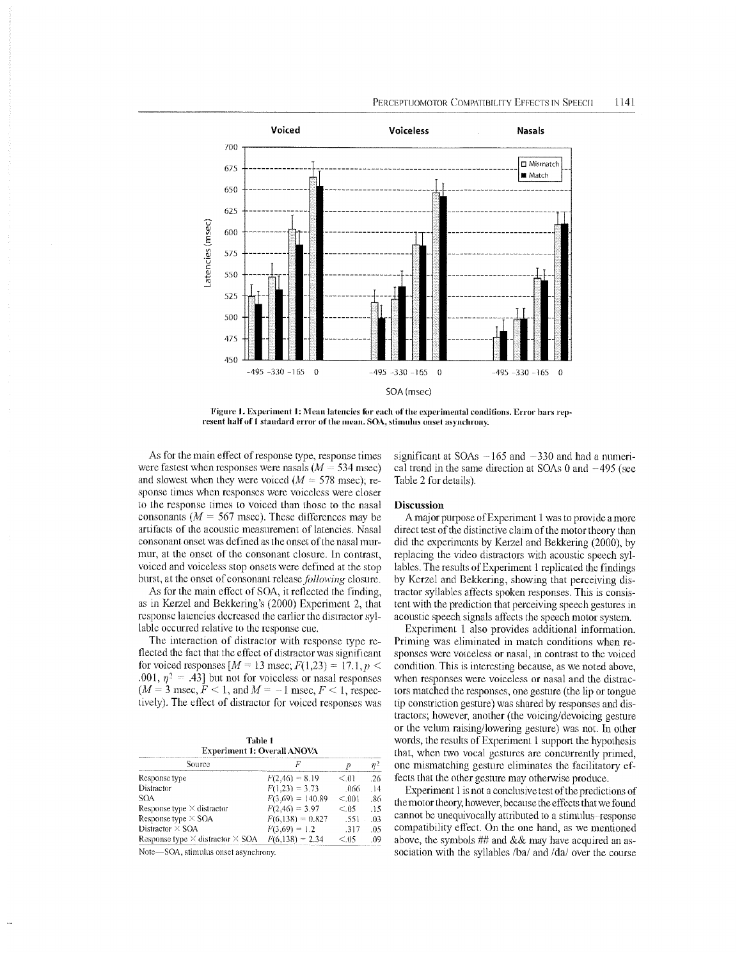

Figure 1. Experiment 1: Mean latencies for each of the experimental conditions. Error bars represent half of 1 standard error of the mean. SOA, stimulus onset asynchrony.

As for the main effect of response type, response times were fastest when responses were nasals  $(M = 534$  msec) and slowest when they were voiced  $(M = 578$  msec); response times when responses were voiceless were closer to the response times to voiced than those to the nasal consonants ( $M = 567$  msec). These differences may be artifacts of the acoustic measurement of latencies. Nasal consonant onset was defined as the onset of the nasal murmur, at the onset of the consonant closure. In contrast, voiced and voiceless stop onsets were defined at the stop burst, at the onset of consonant release following closure.

As for the main effect of SOA, it reflected the finding, as in Kerzel and Bekkering's (2000) Experiment 2, that response latencies decreased the earlier the distractor syllable occurred relative to the response cue.

The interaction of distractor with response type reflected the fact that the effect of distractor was significant for voiced responses  $[M = 13 \text{ msec}; F(1,23) = 17.1, p <$ .001,  $\eta^2 = .43$ ] but not for voiceless or nasal responses  $(M = 3$  msec,  $\tilde{F} < 1$ , and  $M = -1$  msec,  $F < 1$ , respectively). The effect of distractor for voiced responses was

Table 1 **Experiment 1: Overall ANOVA** 

| Source                                         |                    |           | пZ             |
|------------------------------------------------|--------------------|-----------|----------------|
| Response type                                  | $F(2,46) = 8.19$   | $\leq 01$ | .26            |
| <b>Distractor</b>                              | $F(1,23) = 3.73$   | .066      | $\frac{14}{2}$ |
| SOA.                                           | $F(3,69) = 140.89$ | < 001     | -86            |
| Response type $\times$ distractor              | $F(2, 46) = 3.97$  | < 0.05    | .15            |
| Response type $\times$ SOA                     | $F(6,138) = 0.827$ | .551      | 03             |
| Distractor $\times$ SOA                        | $F(3,69) = 1.2$    | .317      | .05            |
| Response type $\times$ distractor $\times$ SOA | $F(6.138) = 2.34$  | < 05      | -09            |

Note-SOA, stimulus onset asynchrony.

significant at SOAs  $-165$  and  $-330$  and had a numerical trend in the same direction at SOAs  $0$  and  $-495$  (see Table 2 for details).

### **Discussion**

A major purpose of Experiment 1 was to provide a more direct test of the distinctive claim of the motor theory than did the experiments by Kerzel and Bekkering (2000), by replacing the video distractors with acoustic speech syllables. The results of Experiment 1 replicated the findings by Kerzel and Bekkering, showing that perceiving distractor syllables affects spoken responses. This is consistent with the prediction that perceiving speech gestures in acoustic speech signals affects the speech motor system.

Experiment 1 also provides additional information. Priming was eliminated in match conditions when responses were voiceless or nasal, in contrast to the voiced condition. This is interesting because, as we noted above, when responses were voiceless or nasal and the distractors matched the responses, one gesture (the lip or tongue) tip constriction gesture) was shared by responses and distractors; however, another (the voicing/devoicing gesture or the velum raising/lowering gesture) was not. In other words, the results of Experiment 1 support the hypothesis that, when two vocal gestures are concurrently primed, one mismatching gesture eliminates the facilitatory effects that the other gesture may otherwise produce.

Experiment 1 is not a conclusive test of the predictions of the motor theory, however, because the effects that we found cannot be unequivocally attributed to a stimulus-response compatibility effect. On the one hand, as we mentioned above, the symbols ## and && may have acquired an association with the syllables /ba/ and /da/ over the course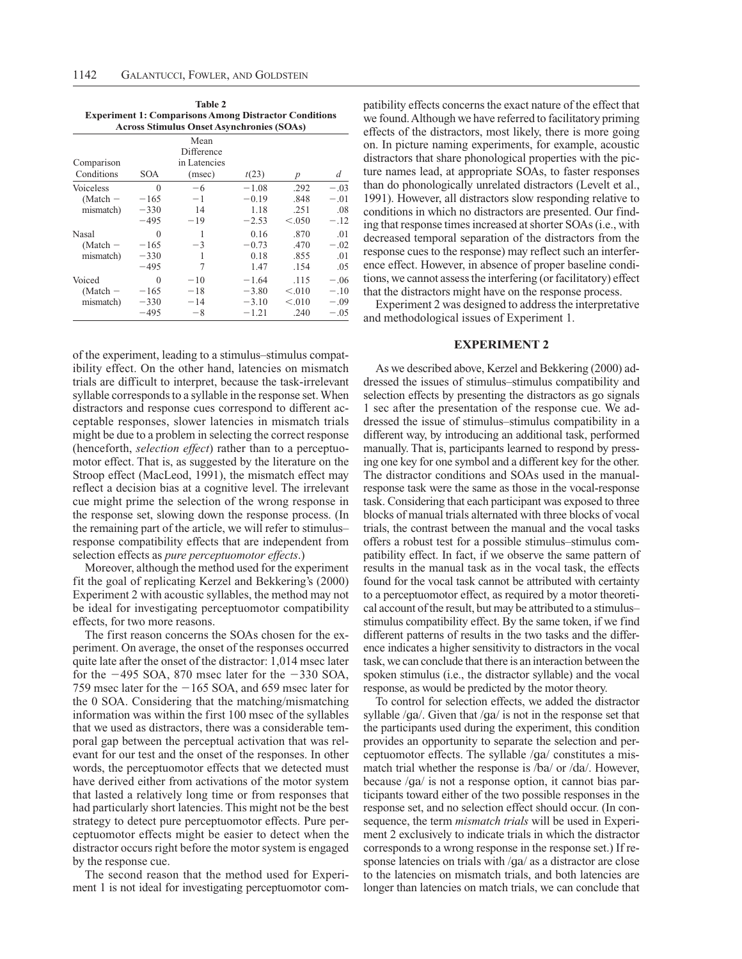| <b>Table 2</b><br><b>Experiment 1: Comparisons Among Distractor Conditions</b><br><b>Across Stimulus Onset Asynchronies (SOAs)</b> |                                        |                                 |                                          |                                    |                                      |  |  |  |  |
|------------------------------------------------------------------------------------------------------------------------------------|----------------------------------------|---------------------------------|------------------------------------------|------------------------------------|--------------------------------------|--|--|--|--|
|                                                                                                                                    |                                        |                                 |                                          |                                    |                                      |  |  |  |  |
| Voiceless<br>$Match -$<br>mismatch)                                                                                                | $\Omega$<br>$-165$<br>$-330$<br>$-495$ | -6<br>$-1$<br>14<br>$-19$       | $-1.08$<br>$-0.19$<br>1.18<br>$-2.53$    | .292<br>.848<br>.251<br>< 0.050    | $-.03$<br>$-.01$<br>.08<br>$-.12$    |  |  |  |  |
| <b>Nasal</b><br>$Match -$<br>mismatch)                                                                                             | $\Omega$<br>$-165$<br>$-330$<br>$-495$ | 1<br><sup>-3</sup><br>1<br>7    | 0.16<br>$-0.73$<br>0.18<br>1.47          | .870<br>.470<br>.855<br>.154       | .01<br>$-.02$<br>.01<br>.05          |  |  |  |  |
| Voiced<br>$Match -$<br>mismatch)                                                                                                   | $\Omega$<br>$-165$<br>$-330$<br>$-495$ | $-10$<br>$-18$<br>$-14$<br>$-8$ | $-1.64$<br>$-3.80$<br>$-3.10$<br>$-1.21$ | .115<br>< 0.010<br>< 0.010<br>.240 | $-.06$<br>$-.10$<br>$-.09$<br>$-.05$ |  |  |  |  |

of the experiment, leading to a stimulus–stimulus compatibility effect. On the other hand, latencies on mismatch trials are difficult to interpret, because the task-irrelevant syllable corresponds to a syllable in the response set. When distractors and response cues correspond to different acceptable responses, slower latencies in mismatch trials might be due to a problem in selecting the correct response (henceforth, *selection effect*) rather than to a perceptuomotor effect. That is, as suggested by the literature on the Stroop effect (MacLeod, 1991), the mismatch effect may reflect a decision bias at a cognitive level. The irrelevant cue might prime the selection of the wrong response in the response set, slowing down the response process. (In the remaining part of the article, we will refer to stimulus– response compatibility effects that are independent from selection effects as *pure perceptuomotor effects*.)

Moreover, although the method used for the experiment fit the goal of replicating Kerzel and Bekkering's (2000) Experiment 2 with acoustic syllables, the method may not be ideal for investigating perceptuomotor compatibility effects, for two more reasons.

The first reason concerns the SOAs chosen for the experiment. On average, the onset of the responses occurred quite late after the onset of the distractor: 1,014 msec later for the  $-495$  SOA, 870 msec later for the  $-330$  SOA, 759 msec later for the  $-165$  SOA, and 659 msec later for the 0 SOA. Considering that the matching/mismatching information was within the first 100 msec of the syllables that we used as distractors, there was a considerable temporal gap between the perceptual activation that was relevant for our test and the onset of the responses. In other words, the perceptuomotor effects that we detected must have derived either from activations of the motor system that lasted a relatively long time or from responses that had particularly short latencies. This might not be the best strategy to detect pure perceptuomotor effects. Pure perceptuomotor effects might be easier to detect when the distractor occurs right before the motor system is engaged by the response cue.

The second reason that the method used for Experiment 1 is not ideal for investigating perceptuomotor compatibility effects concerns the exact nature of the effect that we found. Although we have referred to facilitatory priming effects of the distractors, most likely, there is more going on. In picture naming experiments, for example, acoustic distractors that share phonological properties with the picture names lead, at appropriate SOAs, to faster responses than do phonologically unrelated distractors (Levelt et al., 1991). However, all distractors slow responding relative to conditions in which no distractors are presented. Our finding that response times increased at shorter SOAs (i.e., with decreased temporal separation of the distractors from the response cues to the response) may reflect such an interference effect. However, in absence of proper baseline conditions, we cannot assess the interfering (or facilitatory) effect that the distractors might have on the response process.

Experiment 2 was designed to address the interpretative and methodological issues of Experiment 1.

# **Experiment 2**

As we described above, Kerzel and Bekkering (2000) addressed the issues of stimulus–stimulus compatibility and selection effects by presenting the distractors as go signals 1 sec after the presentation of the response cue. We addressed the issue of stimulus–stimulus compatibility in a different way, by introducing an additional task, performed manually. That is, participants learned to respond by pressing one key for one symbol and a different key for the other. The distractor conditions and SOAs used in the manualresponse task were the same as those in the vocal-response task. Considering that each participant was exposed to three blocks of manual trials alternated with three blocks of vocal trials, the contrast between the manual and the vocal tasks offers a robust test for a possible stimulus–stimulus compatibility effect. In fact, if we observe the same pattern of results in the manual task as in the vocal task, the effects found for the vocal task cannot be attributed with certainty to a perceptuomotor effect, as required by a motor theoretical account of the result, but may be attributed to a stimulus– stimulus compatibility effect. By the same token, if we find different patterns of results in the two tasks and the difference indicates a higher sensitivity to distractors in the vocal task, we can conclude that there is an interaction between the spoken stimulus (i.e., the distractor syllable) and the vocal response, as would be predicted by the motor theory.

To control for selection effects, we added the distractor syllable /ga/. Given that /ga/ is not in the response set that the participants used during the experiment, this condition provides an opportunity to separate the selection and perceptuomotor effects. The syllable /ga/ constitutes a mismatch trial whether the response is /ba/ or /da/. However, because /ga/ is not a response option, it cannot bias participants toward either of the two possible responses in the response set, and no selection effect should occur. (In consequence, the term *mismatch trials* will be used in Experiment 2 exclusively to indicate trials in which the distractor corresponds to a wrong response in the response set.) If response latencies on trials with /ga/ as a distractor are close to the latencies on mismatch trials, and both latencies are longer than latencies on match trials, we can conclude that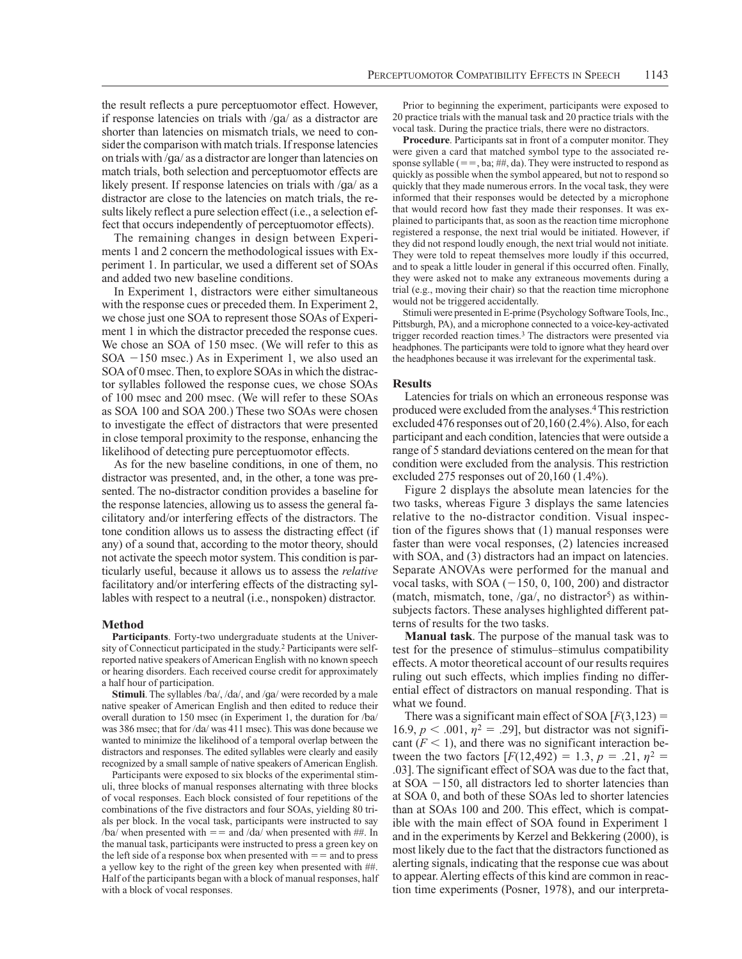the result reflects a pure perceptuomotor effect. However, if response latencies on trials with /ga/ as a distractor are shorter than latencies on mismatch trials, we need to consider the comparison with match trials. If response latencies on trials with /ga/ as a distractor are longer than latencies on match trials, both selection and perceptuomotor effects are likely present. If response latencies on trials with /qa/ as a distractor are close to the latencies on match trials, the results likely reflect a pure selection effect (i.e., a selection effect that occurs independently of perceptuomotor effects).

The remaining changes in design between Experiments 1 and 2 concern the methodological issues with Experiment 1. In particular, we used a different set of SOAs and added two new baseline conditions.

In Experiment 1, distractors were either simultaneous with the response cues or preceded them. In Experiment 2, we chose just one SOA to represent those SOAs of Experiment 1 in which the distractor preceded the response cues. We chose an SOA of 150 msec. (We will refer to this as  $SOA - 150$  msec.) As in Experiment 1, we also used an SOA of 0 msec. Then, to explore SOAs in which the distractor syllables followed the response cues, we chose SOAs of 100 msec and 200 msec. (We will refer to these SOAs as SOA 100 and SOA 200.) These two SOAs were chosen to investigate the effect of distractors that were presented in close temporal proximity to the response, enhancing the likelihood of detecting pure perceptuomotor effects.

As for the new baseline conditions, in one of them, no distractor was presented, and, in the other, a tone was presented. The no-distractor condition provides a baseline for the response latencies, allowing us to assess the general facilitatory and/or interfering effects of the distractors. The tone condition allows us to assess the distracting effect (if any) of a sound that, according to the motor theory, should not activate the speech motor system. This condition is particularly useful, because it allows us to assess the *relative*  facilitatory and/or interfering effects of the distracting syllables with respect to a neutral (i.e., nonspoken) distractor.

#### **Method**

**Participants**. Forty-two undergraduate students at the University of Connecticut participated in the study.2 Participants were selfreported native speakers of American English with no known speech or hearing disorders. Each received course credit for approximately a half hour of participation.

**Stimuli**. The syllables /ba/, /da/, and /ga/ were recorded by a male native speaker of American English and then edited to reduce their overall duration to 150 msec (in Experiment 1, the duration for /ba/ was 386 msec; that for /da/ was 411 msec). This was done because we wanted to minimize the likelihood of a temporal overlap between the distractors and responses. The edited syllables were clearly and easily recognized by a small sample of native speakers of American English.

Participants were exposed to six blocks of the experimental stimuli, three blocks of manual responses alternating with three blocks of vocal responses. Each block consisted of four repetitions of the combinations of the five distractors and four SOAs, yielding 80 trials per block. In the vocal task, participants were instructed to say /ba/ when presented with  $=$  and /da/ when presented with  $#$ . In the manual task, participants were instructed to press a green key on the left side of a response box when presented with  $=5$  and to press a yellow key to the right of the green key when presented with ##. Half of the participants began with a block of manual responses, half with a block of vocal responses.

Prior to beginning the experiment, participants were exposed to 20 practice trials with the manual task and 20 practice trials with the vocal task. During the practice trials, there were no distractors.

**Procedure**. Participants sat in front of a computer monitor. They were given a card that matched symbol type to the associated response syllable  $(==, ba; \#H, da)$ . They were instructed to respond as quickly as possible when the symbol appeared, but not to respond so quickly that they made numerous errors. In the vocal task, they were informed that their responses would be detected by a microphone that would record how fast they made their responses. It was explained to participants that, as soon as the reaction time microphone registered a response, the next trial would be initiated. However, if they did not respond loudly enough, the next trial would not initiate. They were told to repeat themselves more loudly if this occurred, and to speak a little louder in general if this occurred often. Finally, they were asked not to make any extraneous movements during a trial (e.g., moving their chair) so that the reaction time microphone would not be triggered accidentally.

Stimuli were presented in E-prime (Psychology Software Tools, Inc., Pittsburgh, PA), and a microphone connected to a voice-key-activated trigger recorded reaction times.3 The distractors were presented via headphones. The participants were told to ignore what they heard over the headphones because it was irrelevant for the experimental task.

#### **Results**

Latencies for trials on which an erroneous response was produced were excluded from the analyses.4 This restriction excluded 476 responses out of 20,160 (2.4%). Also, for each participant and each condition, latencies that were outside a range of 5 standard deviations centered on the mean for that condition were excluded from the analysis. This restriction excluded 275 responses out of 20,160 (1.4%).

Figure 2 displays the absolute mean latencies for the two tasks, whereas Figure 3 displays the same latencies relative to the no-distractor condition. Visual inspection of the figures shows that (1) manual responses were faster than were vocal responses, (2) latencies increased with SOA, and (3) distractors had an impact on latencies. Separate ANOVAs were performed for the manual and vocal tasks, with SOA  $(-150, 0, 100, 200)$  and distractor (match, mismatch, tone,  $\gamma$ ga $\gamma$ , no distractor<sup>5</sup>) as withinsubjects factors. These analyses highlighted different patterns of results for the two tasks.

**Manual task**. The purpose of the manual task was to test for the presence of stimulus–stimulus compatibility effects. A motor theoretical account of our results requires ruling out such effects, which implies finding no differential effect of distractors on manual responding. That is what we found.

There was a significant main effect of SOA  $[F(3,123) =$ 16.9,  $p < .001$ ,  $\eta^2 = .29$ ], but distractor was not significant  $(F < 1)$ , and there was no significant interaction between the two factors  $[F(12, 492) = 1.3, p = .21, \eta^2 =$ .03]. The significant effect of SOA was due to the fact that, at  $SOA - 150$ , all distractors led to shorter latencies than at SOA 0, and both of these SOAs led to shorter latencies than at SOAs 100 and 200. This effect, which is compatible with the main effect of SOA found in Experiment 1 and in the experiments by Kerzel and Bekkering (2000), is most likely due to the fact that the distractors functioned as alerting signals, indicating that the response cue was about to appear. Alerting effects of this kind are common in reaction time experiments (Posner, 1978), and our interpreta-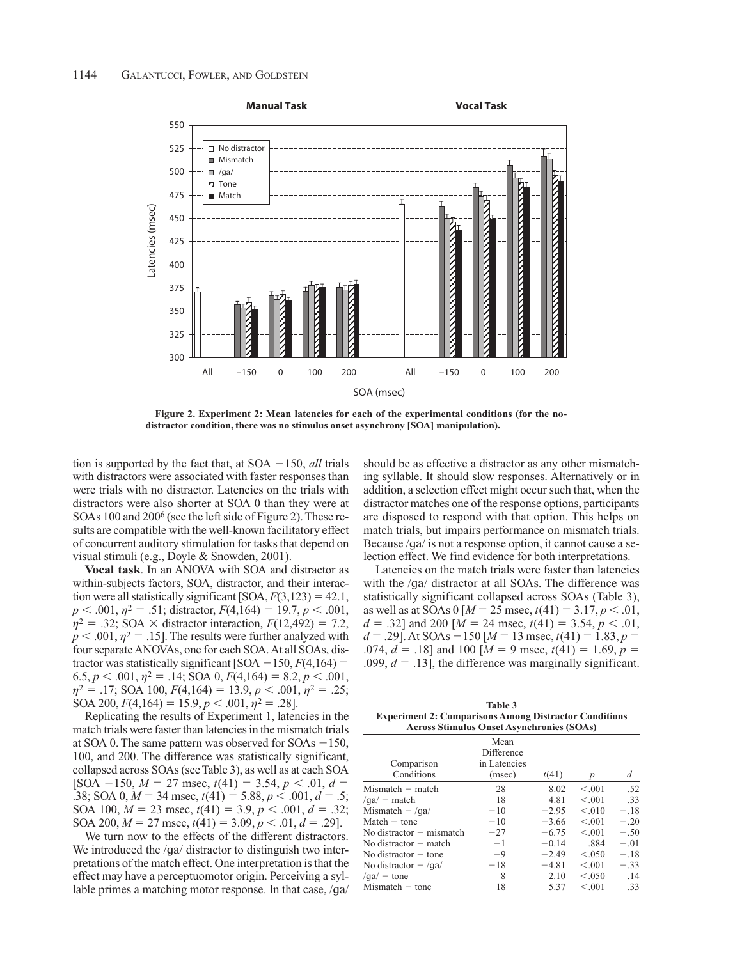

**Figure 2. Experiment 2: Mean latencies for each of the experimental conditions (for the nodistractor condition, there was no stimulus onset asynchrony [SOA] manipulation).**

tion is supported by the fact that, at  $SOA - 150$ , *all* trials with distractors were associated with faster responses than were trials with no distractor. Latencies on the trials with distractors were also shorter at SOA 0 than they were at SOAs 100 and 2006 (see the left side of Figure 2). These results are compatible with the well-known facilitatory effect of concurrent auditory stimulation for tasks that depend on visual stimuli (e.g., Doyle & Snowden, 2001).

**Vocal task**. In an ANOVA with SOA and distractor as within-subjects factors, SOA, distractor, and their interaction were all statistically significant  $[SOA, F(3,123) = 42.1$ ,  $p < .001$ ,  $\eta^2 = .51$ ; distractor,  $F(4,164) = 19.7$ ,  $p < .001$ ,  $\eta^2$  = .32; SOA  $\times$  distractor interaction,  $F(12,492) = 7.2$ ,  $p < .001$ ,  $\eta^2 = .15$ . The results were further analyzed with four separate ANOVAs, one for each SOA. At all SOAs, distractor was statistically significant  $[SOA - 150, F(4,164) =$ 6.5,  $p < .001$ ,  $\eta^2 = .14$ ; SOA 0,  $F(4,164) = 8.2$ ,  $p < .001$ ,  $\eta^2 = .17$ ; SOA 100,  $F(4,164) = 13.9, p < .001, \eta^2 = .25$ ; SOA 200,  $F(4,164) = 15.9, p < .001, \eta^2 = .28$ .

Replicating the results of Experiment 1, latencies in the match trials were faster than latencies in the mismatch trials at SOA 0. The same pattern was observed for  $SOAs -150$ , 100, and 200. The difference was statistically significant, collapsed across SOAs (see Table 3), as well as at each SOA  $[SOA - 150, M = 27$  msec,  $t(41) = 3.54, p < .01, d =$ .38; SOA 0,  $M = 34$  msec,  $t(41) = 5.88$ ,  $p < .001$ ,  $d = .5$ ; SOA 100,  $M = 23$  msec,  $t(41) = 3.9, p < .001, d = .32;$ SOA 200,  $M = 27$  msec,  $t(41) = 3.09$ ,  $p < .01$ ,  $d = .29$ ].

We turn now to the effects of the different distractors. We introduced the /ga/ distractor to distinguish two interpretations of the match effect. One interpretation is that the effect may have a perceptuomotor origin. Perceiving a syllable primes a matching motor response. In that case, /ga/ should be as effective a distractor as any other mismatching syllable. It should slow responses. Alternatively or in addition, a selection effect might occur such that, when the distractor matches one of the response options, participants are disposed to respond with that option. This helps on match trials, but impairs performance on mismatch trials. Because /ga/ is not a response option, it cannot cause a selection effect. We find evidence for both interpretations.

Latencies on the match trials were faster than latencies with the /ga/ distractor at all SOAs. The difference was statistically significant collapsed across SOAs (Table 3), as well as at SOAs 0  $M = 25$  msec,  $t(41) = 3.17, p < .01$ ,  $d = .32$ ] and 200 [ $M = 24$  msec,  $t(41) = 3.54$ ,  $p < .01$ ,  $d = .29$ ]. At SOAs  $-150$  [ $M = 13$  msec,  $t(41) = 1.83$ ,  $p =$ .074,  $d = .18$ ] and 100 [ $M = 9$  msec,  $t(41) = 1.69$ ,  $p =$ .099,  $d = .13$ ], the difference was marginally significant.

**Table 3 Experiment 2: Comparisons Among Distractor Conditions Across Stimulus Onset Asynchronies (SOAs)** Mean **Difference** Comparison in Latencies Conditions (msec)  $t(41)$  *p d* Mismatch - match 28 8.02 < 001 .52<br>  $\sqrt{qa}$  - match 18 4.81 < 001 .33  $\sqrt{ga} - \text{match}$  18 4.81 < 001 .33<br>Mismatch -  $\sqrt{aa}$  - 10 - 2.95 < 010 - 18 Mismatch  $-/ga$   $-10$   $-2.95$   $< 0.01$   $-1.8$ <br>Match  $-$  tone  $-10$   $-3.66$   $< 0.01$   $-2.0$ Match - tone  $-10$   $-3.66$   $< .001$   $-0.20$ <br>No distractor - mismatch  $-27$   $-6.75$   $< .001$   $-50$ 

No distractor – mismatch  $-27$   $-6.75$   $< .001$ No distractor – match  $-1$   $-0.14$   $.884$   $-0.1$ <br>No distractor – tone  $-9$   $-2.49$   $< .050$   $-18$ No distractor – tone  $-9 -2.49 < 0.050 -18$ No distractor  $-\frac{1}{9a}$   $-18$   $-4.81$   $-0.01$   $-33$ <br> $\frac{1}{9a}$   $-$  tone  $8$   $-2.10$   $-0.50$   $-14$  $\sqrt{ga}$  - tone 8 2.10 < .050<br>Mismatch - tone 18 5.37 < .001  $Mismatch - tone$  18  $5.37 < .001$  .33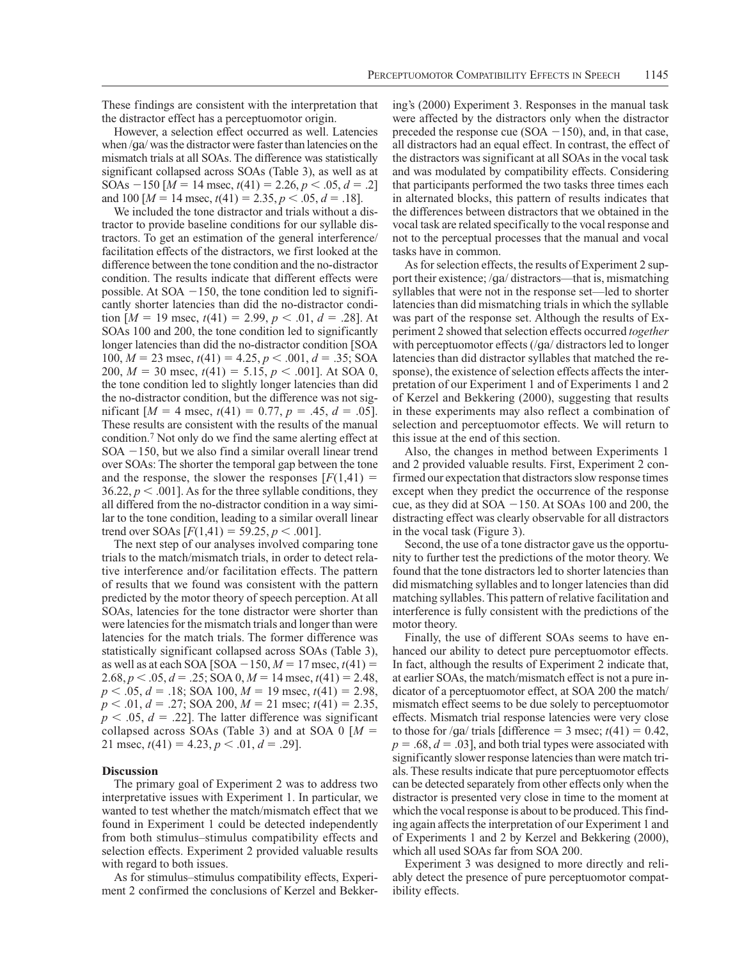These findings are consistent with the interpretation that the distractor effect has a perceptuomotor origin.

However, a selection effect occurred as well. Latencies when /ga/ was the distractor were faster than latencies on the mismatch trials at all SOAs. The difference was statistically significant collapsed across SOAs (Table 3), as well as at SOAs  $-150$  [*M* = 14 msec,  $t(41) = 2.26$ ,  $p < .05$ ,  $d = .2$ ] and 100  $[M = 14 \text{ msec}, t(41) = 2.35, p < .05, d = .18]$ .

We included the tone distractor and trials without a distractor to provide baseline conditions for our syllable distractors. To get an estimation of the general interference/ facilitation effects of the distractors, we first looked at the difference between the tone condition and the no-distractor condition. The results indicate that different effects were possible. At SOA  $-150$ , the tone condition led to significantly shorter latencies than did the no-distractor condition  $[M = 19$  msec,  $t(41) = 2.99, p < .01, d = .28]$ . At SOAs 100 and 200, the tone condition led to significantly longer latencies than did the no-distractor condition [SOA 100,  $M = 23$  msec,  $t(41) = 4.25$ ,  $p < .001$ ,  $d = .35$ ; SOA 200,  $M = 30$  msec,  $t(41) = 5.15$ ,  $p < .001$ ]. At SOA 0, the tone condition led to slightly longer latencies than did the no-distractor condition, but the difference was not significant  $[M = 4$  msec,  $t(41) = 0.77$ ,  $p = .45$ ,  $d = .05$ ]. These results are consistent with the results of the manual condition.7 Not only do we find the same alerting effect at  $SOA - 150$ , but we also find a similar overall linear trend over SOAs: The shorter the temporal gap between the tone and the response, the slower the responses  $[F(1,41) =$ 36.22,  $p < .001$ ]. As for the three syllable conditions, they all differed from the no-distractor condition in a way similar to the tone condition, leading to a similar overall linear trend over SOAs  $[F(1,41) = 59.25, p < .001]$ .

The next step of our analyses involved comparing tone trials to the match/mismatch trials, in order to detect relative interference and/or facilitation effects. The pattern of results that we found was consistent with the pattern predicted by the motor theory of speech perception. At all SOAs, latencies for the tone distractor were shorter than were latencies for the mismatch trials and longer than were latencies for the match trials. The former difference was statistically significant collapsed across SOAs (Table 3), as well as at each SOA [SOA  $-150$ ,  $M = 17$  msec,  $t(41) =$  $2.68, p < .05, d = .25$ ; SOA  $0, M = 14$  msec,  $t(41) = 2.48$ ,  $p < .05$ ,  $d = .18$ ; SOA 100,  $M = 19$  msec,  $t(41) = 2.98$ ,  $p < .01$ ,  $d = .27$ ; SOA 200,  $M = 21$  msec;  $t(41) = 2.35$ ,  $p < .05$ ,  $d = .22$ . The latter difference was significant collapsed across SOAs (Table 3) and at SOA 0  $M =$ 21 msec,  $t(41) = 4.23, p < .01, d = .29$ ].

# **Discussion**

The primary goal of Experiment 2 was to address two interpretative issues with Experiment 1. In particular, we wanted to test whether the match/mismatch effect that we found in Experiment 1 could be detected independently from both stimulus–stimulus compatibility effects and selection effects. Experiment 2 provided valuable results with regard to both issues.

As for stimulus–stimulus compatibility effects, Experiment 2 confirmed the conclusions of Kerzel and Bekkering's (2000) Experiment 3. Responses in the manual task were affected by the distractors only when the distractor preceded the response cue (SOA  $-150$ ), and, in that case, all distractors had an equal effect. In contrast, the effect of the distractors was significant at all SOAs in the vocal task and was modulated by compatibility effects. Considering that participants performed the two tasks three times each in alternated blocks, this pattern of results indicates that the differences between distractors that we obtained in the vocal task are related specifically to the vocal response and not to the perceptual processes that the manual and vocal tasks have in common.

As for selection effects, the results of Experiment 2 support their existence; /ga/ distractors—that is, mismatching syllables that were not in the response set—led to shorter latencies than did mismatching trials in which the syllable was part of the response set. Although the results of Experiment 2 showed that selection effects occurred *together* with perceptuomotor effects (/ga/ distractors led to longer latencies than did distractor syllables that matched the response), the existence of selection effects affects the interpretation of our Experiment 1 and of Experiments 1 and 2 of Kerzel and Bekkering (2000), suggesting that results in these experiments may also reflect a combination of selection and perceptuomotor effects. We will return to this issue at the end of this section.

Also, the changes in method between Experiments 1 and 2 provided valuable results. First, Experiment 2 confirmed our expectation that distractors slow response times except when they predict the occurrence of the response cue, as they did at  $SOA - 150$ . At SOAs 100 and 200, the distracting effect was clearly observable for all distractors in the vocal task (Figure 3).

Second, the use of a tone distractor gave us the opportunity to further test the predictions of the motor theory. We found that the tone distractors led to shorter latencies than did mismatching syllables and to longer latencies than did matching syllables. This pattern of relative facilitation and interference is fully consistent with the predictions of the motor theory.

Finally, the use of different SOAs seems to have enhanced our ability to detect pure perceptuomotor effects. In fact, although the results of Experiment 2 indicate that, at earlier SOAs, the match/mismatch effect is not a pure indicator of a perceptuomotor effect, at SOA 200 the match/ mismatch effect seems to be due solely to perceptuomotor effects. Mismatch trial response latencies were very close to those for /ga/ trials [difference = 3 msec;  $t(41) = 0.42$ ,  $p = .68$ ,  $d = .03$ , and both trial types were associated with significantly slower response latencies than were match trials. These results indicate that pure perceptuomotor effects can be detected separately from other effects only when the distractor is presented very close in time to the moment at which the vocal response is about to be produced. This finding again affects the interpretation of our Experiment 1 and of Experiments 1 and 2 by Kerzel and Bekkering (2000), which all used SOAs far from SOA 200.

Experiment 3 was designed to more directly and reliably detect the presence of pure perceptuomotor compatibility effects.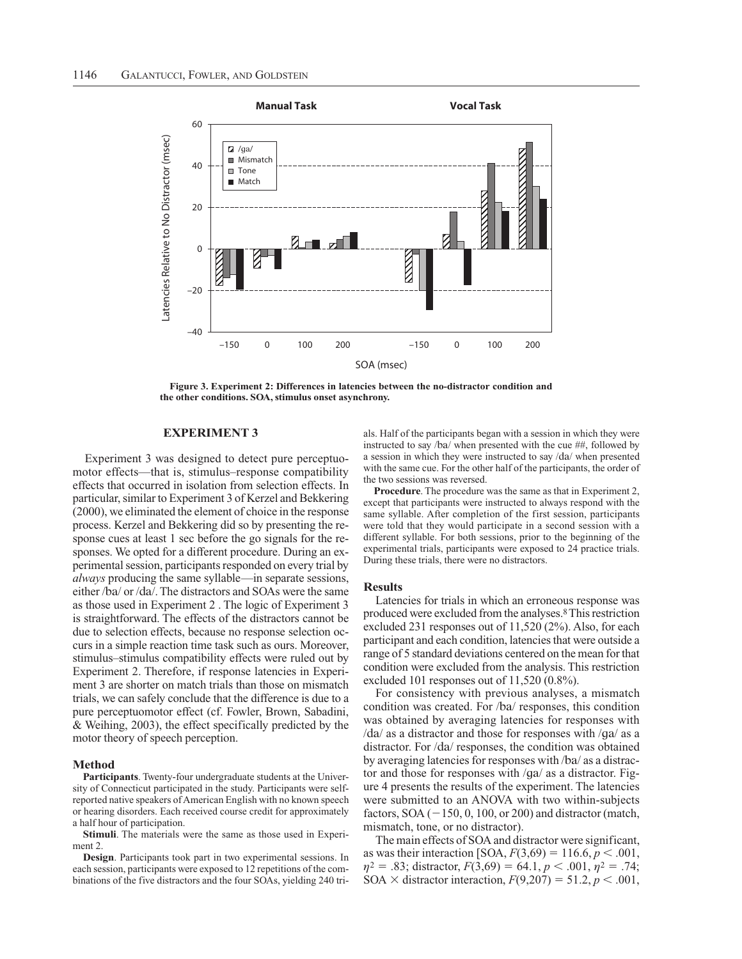

**Figure 3. Experiment 2: Differences in latencies between the no-distractor condition and the other conditions. SOA, stimulus onset asynchrony.**

# **Experiment 3**

Experiment 3 was designed to detect pure perceptuomotor effects—that is, stimulus–response compatibility effects that occurred in isolation from selection effects. In particular, similar to Experiment 3 of Kerzel and Bekkering (2000), we eliminated the element of choice in the response process. Kerzel and Bekkering did so by presenting the response cues at least 1 sec before the go signals for the responses. We opted for a different procedure. During an experimental session, participants responded on every trial by *always* producing the same syllable—in separate sessions, either /ba/ or /da/. The distractors and SOAs were the same as those used in Experiment 2 . The logic of Experiment 3 is straightforward. The effects of the distractors cannot be due to selection effects, because no response selection occurs in a simple reaction time task such as ours. Moreover, stimulus–stimulus compatibility effects were ruled out by Experiment 2. Therefore, if response latencies in Experiment 3 are shorter on match trials than those on mismatch trials, we can safely conclude that the difference is due to a pure perceptuomotor effect (cf. Fowler, Brown, Sabadini, & Weihing, 2003), the effect specifically predicted by the motor theory of speech perception.

#### **Method**

**Participants**. Twenty-four undergraduate students at the University of Connecticut participated in the study. Participants were selfreported native speakers of American English with no known speech or hearing disorders. Each received course credit for approximately a half hour of participation.

**Stimuli**. The materials were the same as those used in Experiment 2.

**Design**. Participants took part in two experimental sessions. In each session, participants were exposed to 12 repetitions of the combinations of the five distractors and the four SOAs, yielding 240 trials. Half of the participants began with a session in which they were instructed to say /ba/ when presented with the cue ##, followed by a session in which they were instructed to say /da/ when presented with the same cue. For the other half of the participants, the order of the two sessions was reversed.

**Procedure**. The procedure was the same as that in Experiment 2, except that participants were instructed to always respond with the same syllable. After completion of the first session, participants were told that they would participate in a second session with a different syllable. For both sessions, prior to the beginning of the experimental trials, participants were exposed to 24 practice trials. During these trials, there were no distractors.

#### **Results**

Latencies for trials in which an erroneous response was produced were excluded from the analyses.8 This restriction excluded 231 responses out of 11,520 (2%). Also, for each participant and each condition, latencies that were outside a range of 5 standard deviations centered on the mean for that condition were excluded from the analysis. This restriction excluded 101 responses out of 11,520 (0.8%).

For consistency with previous analyses, a mismatch condition was created. For /ba/ responses, this condition was obtained by averaging latencies for responses with /da/ as a distractor and those for responses with /ga/ as a distractor. For /da/ responses, the condition was obtained by averaging latencies for responses with /ba/ as a distractor and those for responses with /ga/ as a distractor. Figure 4 presents the results of the experiment. The latencies were submitted to an ANOVA with two within-subjects factors,  $SOA (-150, 0, 100, or 200)$  and distractor (match, mismatch, tone, or no distractor).

The main effects of SOA and distractor were significant, as was their interaction [SOA,  $F(3,69) = 116.6, p < .001$ ,  $\eta^2 = .83$ ; distractor,  $F(3,69) = 64.1$ ,  $p < .001$ ,  $\eta^2 = .74$ ; SOA  $\times$  distractor interaction,  $F(9,207) = 51.2$ ,  $p < .001$ ,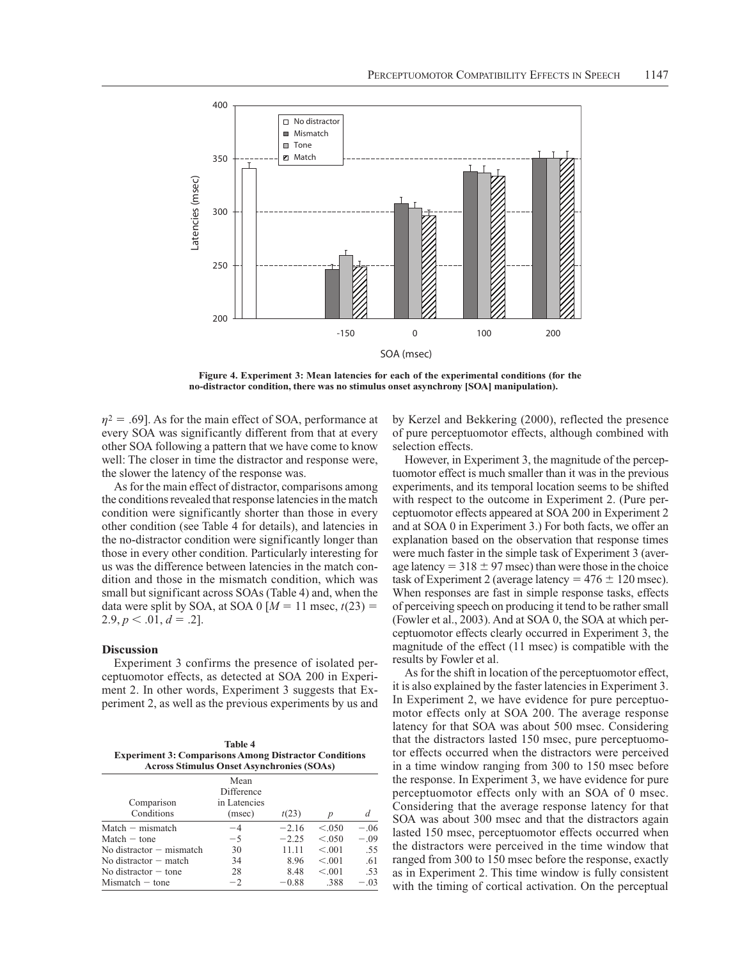

**Figure 4. Experiment 3: Mean latencies for each of the experimental conditions (for the no-distractor condition, there was no stimulus onset asynchrony [SOA] manipulation).**

 $\eta^2$  = .69]. As for the main effect of SOA, performance at every SOA was significantly different from that at every other SOA following a pattern that we have come to know well: The closer in time the distractor and response were, the slower the latency of the response was.

As for the main effect of distractor, comparisons among the conditions revealed that response latencies in the match condition were significantly shorter than those in every other condition (see Table 4 for details), and latencies in the no-distractor condition were significantly longer than those in every other condition. Particularly interesting for us was the difference between latencies in the match condition and those in the mismatch condition, which was small but significant across SOAs (Table 4) and, when the data were split by SOA, at SOA 0  $[M = 11$  msec,  $t(23) =$  $2.9, p < .01, d = .2$ .

# **Discussion**

Experiment 3 confirms the presence of isolated perceptuomotor effects, as detected at SOA 200 in Experiment 2. In other words, Experiment 3 suggests that Experiment 2, as well as the previous experiments by us and

| <b>Table 4</b><br><b>Experiment 3: Comparisons Among Distractor Conditions</b><br><b>Across Stimulus Onset Asynchronies (SOAs)</b> |              |         |         |        |  |  |  |  |
|------------------------------------------------------------------------------------------------------------------------------------|--------------|---------|---------|--------|--|--|--|--|
|                                                                                                                                    | Mean         |         |         |        |  |  |  |  |
|                                                                                                                                    | Difference   |         |         |        |  |  |  |  |
| Comparison                                                                                                                         | in Latencies |         |         |        |  |  |  |  |
| Conditions                                                                                                                         | (msec)       | t(23)   | p       | d      |  |  |  |  |
| $Match - mismatch$                                                                                                                 | $-4$         | $-2.16$ | < 0.050 | $-.06$ |  |  |  |  |
| $Match - tone$                                                                                                                     | $-5$         | $-2.25$ | < 0.050 | $-.09$ |  |  |  |  |
| No distractor $-$ mismatch                                                                                                         | 30           | 11.11   | < 0.01  | .55    |  |  |  |  |
| No distractor $-$ match                                                                                                            | 34           | 8.96    | < 0.01  | .61    |  |  |  |  |
| No distractor $-$ tone                                                                                                             | 28           | 8.48    | < 0.01  | .53    |  |  |  |  |
| $Mismatch - tone$                                                                                                                  | $-2$         | $-0.88$ | .388    | $-.03$ |  |  |  |  |

by Kerzel and Bekkering (2000), reflected the presence of pure perceptuomotor effects, although combined with selection effects.

However, in Experiment 3, the magnitude of the perceptuomotor effect is much smaller than it was in the previous experiments, and its temporal location seems to be shifted with respect to the outcome in Experiment 2. (Pure perceptuomotor effects appeared at SOA 200 in Experiment 2 and at SOA 0 in Experiment 3.) For both facts, we offer an explanation based on the observation that response times were much faster in the simple task of Experiment 3 (average latency =  $318 \pm 97$  msec) than were those in the choice task of Experiment 2 (average latency =  $476 \pm 120$  msec). When responses are fast in simple response tasks, effects of perceiving speech on producing it tend to be rather small (Fowler et al., 2003). And at SOA 0, the SOA at which perceptuomotor effects clearly occurred in Experiment 3, the magnitude of the effect (11 msec) is compatible with the results by Fowler et al.

As for the shift in location of the perceptuomotor effect, it is also explained by the faster latencies in Experiment 3. In Experiment 2, we have evidence for pure perceptuomotor effects only at SOA 200. The average response latency for that SOA was about 500 msec. Considering that the distractors lasted 150 msec, pure perceptuomotor effects occurred when the distractors were perceived in a time window ranging from 300 to 150 msec before the response. In Experiment 3, we have evidence for pure perceptuomotor effects only with an SOA of 0 msec. Considering that the average response latency for that SOA was about 300 msec and that the distractors again lasted 150 msec, perceptuomotor effects occurred when the distractors were perceived in the time window that ranged from 300 to 150 msec before the response, exactly as in Experiment 2. This time window is fully consistent with the timing of cortical activation. On the perceptual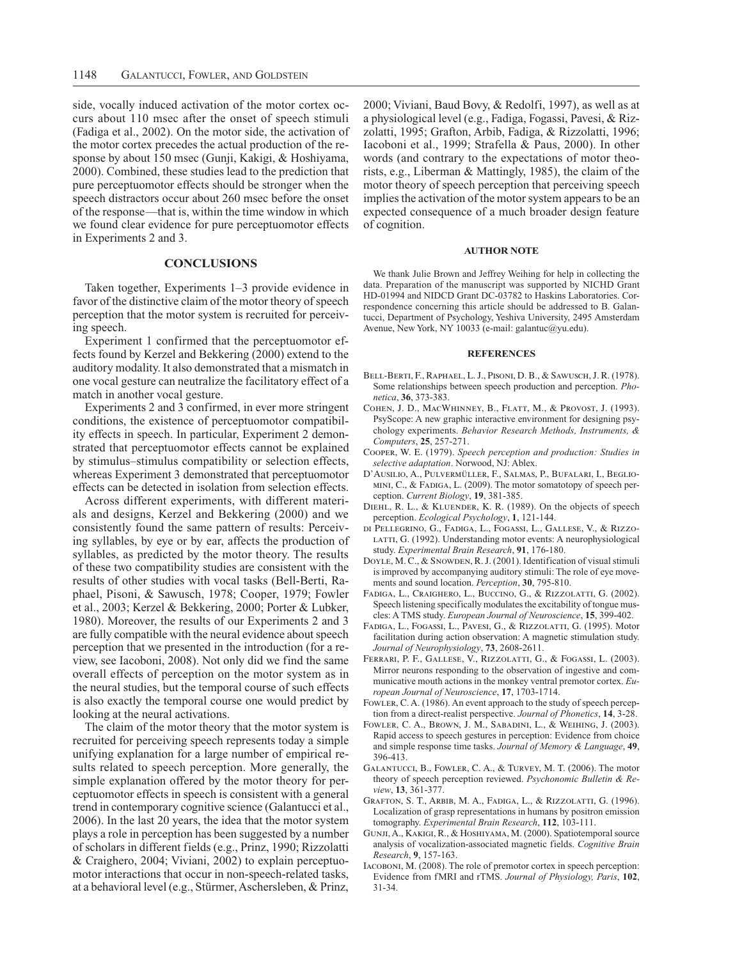side, vocally induced activation of the motor cortex occurs about 110 msec after the onset of speech stimuli (Fadiga et al., 2002). On the motor side, the activation of the motor cortex precedes the actual production of the response by about 150 msec (Gunji, Kakigi, & Hoshiyama, 2000). Combined, these studies lead to the prediction that pure perceptuomotor effects should be stronger when the speech distractors occur about 260 msec before the onset of the response—that is, within the time window in which we found clear evidence for pure perceptuomotor effects in Experiments 2 and 3.

### **Conclusions**

Taken together, Experiments 1–3 provide evidence in favor of the distinctive claim of the motor theory of speech perception that the motor system is recruited for perceiving speech.

Experiment 1 confirmed that the perceptuomotor effects found by Kerzel and Bekkering (2000) extend to the auditory modality. It also demonstrated that a mismatch in one vocal gesture can neutralize the facilitatory effect of a match in another vocal gesture.

Experiments 2 and 3 confirmed, in ever more stringent conditions, the existence of perceptuomotor compatibility effects in speech. In particular, Experiment 2 demonstrated that perceptuomotor effects cannot be explained by stimulus–stimulus compatibility or selection effects, whereas Experiment 3 demonstrated that perceptuomotor effects can be detected in isolation from selection effects.

Across different experiments, with different materials and designs, Kerzel and Bekkering (2000) and we consistently found the same pattern of results: Perceiving syllables, by eye or by ear, affects the production of syllables, as predicted by the motor theory. The results of these two compatibility studies are consistent with the results of other studies with vocal tasks (Bell-Berti, Raphael, Pisoni, & Sawusch, 1978; Cooper, 1979; Fowler et al., 2003; Kerzel & Bekkering, 2000; Porter & Lubker, 1980). Moreover, the results of our Experiments 2 and 3 are fully compatible with the neural evidence about speech perception that we presented in the introduction (for a review, see Iacoboni, 2008). Not only did we find the same overall effects of perception on the motor system as in the neural studies, but the temporal course of such effects is also exactly the temporal course one would predict by looking at the neural activations.

The claim of the motor theory that the motor system is recruited for perceiving speech represents today a simple unifying explanation for a large number of empirical results related to speech perception. More generally, the simple explanation offered by the motor theory for perceptuomotor effects in speech is consistent with a general trend in contemporary cognitive science (Galantucci et al., 2006). In the last 20 years, the idea that the motor system plays a role in perception has been suggested by a number of scholars in different fields (e.g., Prinz, 1990; Rizzolatti & Craighero, 2004; Viviani, 2002) to explain perceptuomotor interactions that occur in non-speech-related tasks, at a behavioral level (e.g., Stürmer, Aschersleben, & Prinz,

2000; Viviani, Baud Bovy, & Redolfi, 1997), as well as at a physiological level (e.g., Fadiga, Fogassi, Pavesi, & Rizzolatti, 1995; Grafton, Arbib, Fadiga, & Rizzolatti, 1996; Iacoboni et al., 1999; Strafella & Paus, 2000). In other words (and contrary to the expectations of motor theorists, e.g., Liberman & Mattingly, 1985), the claim of the motor theory of speech perception that perceiving speech implies the activation of the motor system appears to be an expected consequence of a much broader design feature of cognition.

#### **Author Note**

We thank Julie Brown and Jeffrey Weihing for help in collecting the data. Preparation of the manuscript was supported by NICHD Grant HD-01994 and NIDCD Grant DC-03782 to Haskins Laboratories. Correspondence concerning this article should be addressed to B. Galantucci, Department of Psychology, Yeshiva University, 2495 Amsterdam Avenue, New York, NY 10033 (e-mail: galantuc@yu.edu).

#### **References**

- Bell-Berti, F., Raphael, L. J., Pisoni, D. B., & Sawusch, J. R. (1978). Some relationships between speech production and perception. *Phonetica*, **36**, 373-383.
- Cohen, J. D., MacWhinney, B., Flatt, M., & Provost, J. (1993). PsyScope: A new graphic interactive environment for designing psychology experiments. *Behavior Research Methods, Instruments, & Computers*, **25**, 257-271.
- Cooper, W. E. (1979). *Speech perception and production: Studies in selective adaptation*. Norwood, NJ: Ablex.
- D'Ausilio, A., Pulvermüller, F., Salmas, P., Bufalari, I., Begliomini, C., & Fadiga, L. (2009). The motor somatotopy of speech perception. *Current Biology*, **19**, 381-385.
- DIEHL, R. L., & KLUENDER, K. R. (1989). On the objects of speech perception. *Ecological Psychology*, **1**, 121-144.
- di Pellegrino, G., Fadiga, L., Fogassi, L., Gallese, V., & Rizzo-LATTI, G. (1992). Understanding motor events: A neurophysiological study. *Experimental Brain Research*, **91**, 176-180.
- Doyle, M. C., & Snowden, R. J. (2001). Identification of visual stimuli is improved by accompanying auditory stimuli: The role of eye movements and sound location. *Perception*, **30**, 795-810.
- Fadiga, L., Craighero, L., Buccino, G., & Rizzolatti, G. (2002). Speech listening specifically modulates the excitability of tongue muscles: A TMS study. *European Journal of Neuroscience*, **15**, 399-402.
- Fadiga, L., Fogassi, L., Pavesi, G., & Rizzolatti, G. (1995). Motor facilitation during action observation: A magnetic stimulation study. *Journal of Neurophysiology*, **73**, 2608-2611.
- Ferrari, P. F., Gallese, V., Rizzolatti, G., & Fogassi, L. (2003). Mirror neurons responding to the observation of ingestive and communicative mouth actions in the monkey ventral premotor cortex. *European Journal of Neuroscience*, **17**, 1703-1714.
- Fowler, C. A. (1986). An event approach to the study of speech perception from a direct-realist perspective. *Journal of Phonetics*, **14**, 3-28.
- Fowler, C. A., Brown, J. M., Sabadini, L., & Weihing, J. (2003). Rapid access to speech gestures in perception: Evidence from choice and simple response time tasks. *Journal of Memory & Language*, **49**, 396-413.
- Galantucci, B., Fowler, C. A., & Turvey, M. T. (2006). The motor theory of speech perception reviewed. *Psychonomic Bulletin & Review*, **13**, 361-377.
- Grafton, S. T., Arbib, M. A., Fadiga, L., & Rizzolatti, G. (1996). Localization of grasp representations in humans by positron emission tomography. *Experimental Brain Research*, **112**, 103-111.
- Gunji, A., Kakigi, R., & Hoshiyama, M. (2000). Spatiotemporal source analysis of vocalization-associated magnetic fields. *Cognitive Brain Research*, **9**, 157-163.
- IACOBONI, M. (2008). The role of premotor cortex in speech perception: Evidence from fMRI and rTMS. *Journal of Physiology, Paris*, **102**, 31-34.